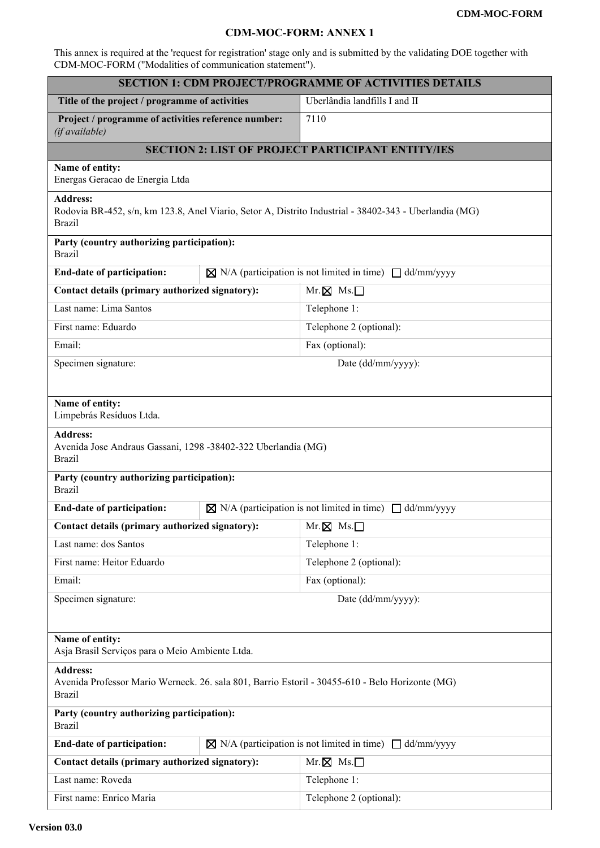## **CDM-MOC-FORM: ANNEX 1**

This annex is required at the 'request for registration' stage only and is submitted by the validating DOE together with CDM-MOC-FORM ("Modalities of communication statement").

| <b>SECTION 1: CDM PROJECT/PROGRAMME OF ACTIVITIES DETAILS</b>                                                                                                                                             |  |                                                                          |  |
|-----------------------------------------------------------------------------------------------------------------------------------------------------------------------------------------------------------|--|--------------------------------------------------------------------------|--|
| Title of the project / programme of activities                                                                                                                                                            |  | Uberlândia landfills I and II                                            |  |
| Project / programme of activities reference number:<br>(if available)                                                                                                                                     |  | 7110                                                                     |  |
| <b>SECTION 2: LIST OF PROJECT PARTICIPANT ENTITY/IES</b>                                                                                                                                                  |  |                                                                          |  |
| Name of entity:<br>Energas Geracao de Energia Ltda                                                                                                                                                        |  |                                                                          |  |
| <b>Address:</b><br>Rodovia BR-452, s/n, km 123.8, Anel Viario, Setor A, Distrito Industrial - 38402-343 - Uberlandia (MG)<br><b>Brazil</b>                                                                |  |                                                                          |  |
| Party (country authorizing participation):<br><b>Brazil</b>                                                                                                                                               |  |                                                                          |  |
| End-date of participation:                                                                                                                                                                                |  | $\boxtimes$ N/A (participation is not limited in time) $\Box$ dd/mm/yyyy |  |
| Contact details (primary authorized signatory):                                                                                                                                                           |  | $Mr. \boxtimes Ms. \Box$                                                 |  |
| Last name: Lima Santos                                                                                                                                                                                    |  | Telephone 1:                                                             |  |
| First name: Eduardo                                                                                                                                                                                       |  | Telephone 2 (optional):                                                  |  |
| Email:                                                                                                                                                                                                    |  | Fax (optional):                                                          |  |
| Specimen signature:                                                                                                                                                                                       |  | Date (dd/mm/yyyy):                                                       |  |
| Name of entity:<br>Limpebrás Resíduos Ltda.<br><b>Address:</b><br>Avenida Jose Andraus Gassani, 1298 -38402-322 Uberlandia (MG)<br><b>Brazil</b><br>Party (country authorizing participation):            |  |                                                                          |  |
| <b>Brazil</b>                                                                                                                                                                                             |  |                                                                          |  |
| <b>End-date of participation:</b>                                                                                                                                                                         |  | $\boxtimes$ N/A (participation is not limited in time) $\Box$ dd/mm/yyyy |  |
| Contact details (primary authorized signatory): $\parallel Mr \times Ms \cdot \square$                                                                                                                    |  | Telephone 1:                                                             |  |
| Last name: dos Santos                                                                                                                                                                                     |  |                                                                          |  |
| First name: Heitor Eduardo                                                                                                                                                                                |  | Telephone 2 (optional):<br>Fax (optional):                               |  |
| Email:                                                                                                                                                                                                    |  |                                                                          |  |
| Specimen signature:<br>Date (dd/mm/yyyy):                                                                                                                                                                 |  |                                                                          |  |
| Name of entity:<br>Asja Brasil Serviços para o Meio Ambiente Ltda.<br><b>Address:</b><br>Avenida Professor Mario Werneck. 26. sala 801, Barrio Estoril - 30455-610 - Belo Horizonte (MG)<br><b>Brazil</b> |  |                                                                          |  |
| Party (country authorizing participation):<br><b>Brazil</b>                                                                                                                                               |  |                                                                          |  |
| End-date of participation:<br>$\boxtimes$ N/A (participation is not limited in time) $\Box$ dd/mm/yyyy                                                                                                    |  |                                                                          |  |
| Contact details (primary authorized signatory):                                                                                                                                                           |  | $Mr. \boxtimes Ms. \Box$                                                 |  |
| Last name: Roveda                                                                                                                                                                                         |  | Telephone 1:                                                             |  |
| First name: Enrico Maria                                                                                                                                                                                  |  | Telephone 2 (optional):                                                  |  |